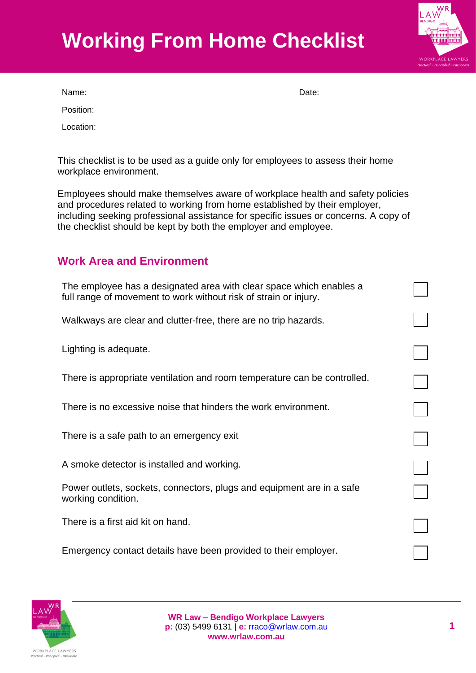# **Working From Home Checklist**



Name: **Name:** Date: **Name:** 2008. **Date:** 2008. **Date:** 2008. **Date:** 2008. **Date:** 2008. 2014. 2015. 2016. 2016. 2016. 2016. 2017. 2016. 2017. 2016. 2017. 2018. 2017. 2018. 2017. 2018. 2017. 2018. 2017. 2018. 2017. 2018.

Position:

Location:

This checklist is to be used as a guide only for employees to assess their home workplace environment.

Employees should make themselves aware of workplace health and safety policies and procedures related to working from home established by their employer, including seeking professional assistance for specific issues or concerns. A copy of the checklist should be kept by both the employer and employee.

### **Work Area and Environment**

| The employee has a designated area with clear space which enables a<br>full range of movement to work without risk of strain or injury. |  |
|-----------------------------------------------------------------------------------------------------------------------------------------|--|
| Walkways are clear and clutter-free, there are no trip hazards.                                                                         |  |
| Lighting is adequate.                                                                                                                   |  |
| There is appropriate ventilation and room temperature can be controlled.                                                                |  |
| There is no excessive noise that hinders the work environment.                                                                          |  |
| There is a safe path to an emergency exit                                                                                               |  |
| A smoke detector is installed and working.                                                                                              |  |
| Power outlets, sockets, connectors, plugs and equipment are in a safe<br>working condition.                                             |  |
| There is a first aid kit on hand.                                                                                                       |  |
| Emergency contact details have been provided to their employer.                                                                         |  |

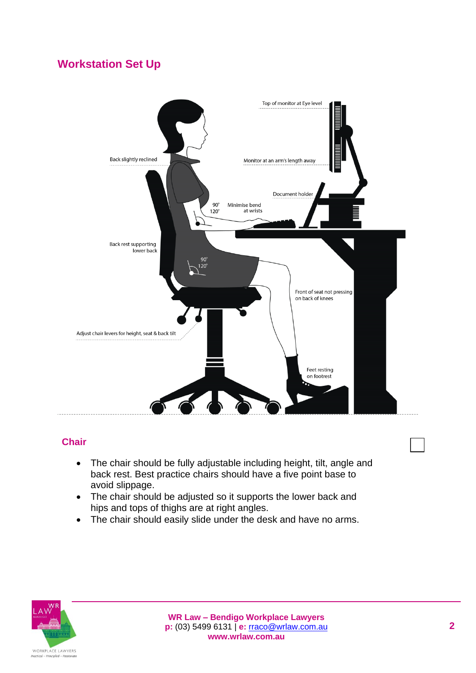## **Workstation Set Up**



#### **Chair**

- The chair should be fully adjustable including height, tilt, angle and back rest. Best practice chairs should have a five point base to avoid slippage.
- The chair should be adjusted so it supports the lower back and hips and tops of thighs are at right angles.
- The chair should easily slide under the desk and have no arms.

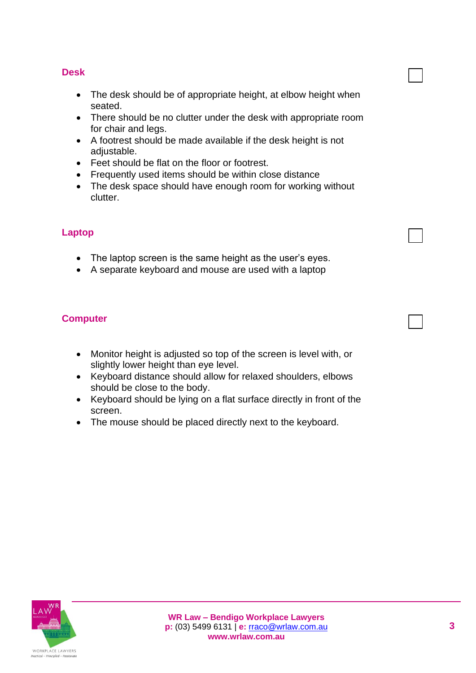#### **Desk**

- The desk should be of appropriate height, at elbow height when seated.
- There should be no clutter under the desk with appropriate room for chair and legs.
- A footrest should be made available if the desk height is not adjustable.
- Feet should be flat on the floor or footrest.
- Frequently used items should be within close distance
- The desk space should have enough room for working without clutter.

#### **Laptop**

- The laptop screen is the same height as the user's eyes.
- A separate keyboard and mouse are used with a laptop

#### **Computer**

- Monitor height is adjusted so top of the screen is level with, or slightly lower height than eye level.
- Keyboard distance should allow for relaxed shoulders, elbows should be close to the body.
- Keyboard should be lying on a flat surface directly in front of the screen.
- The mouse should be placed directly next to the keyboard.